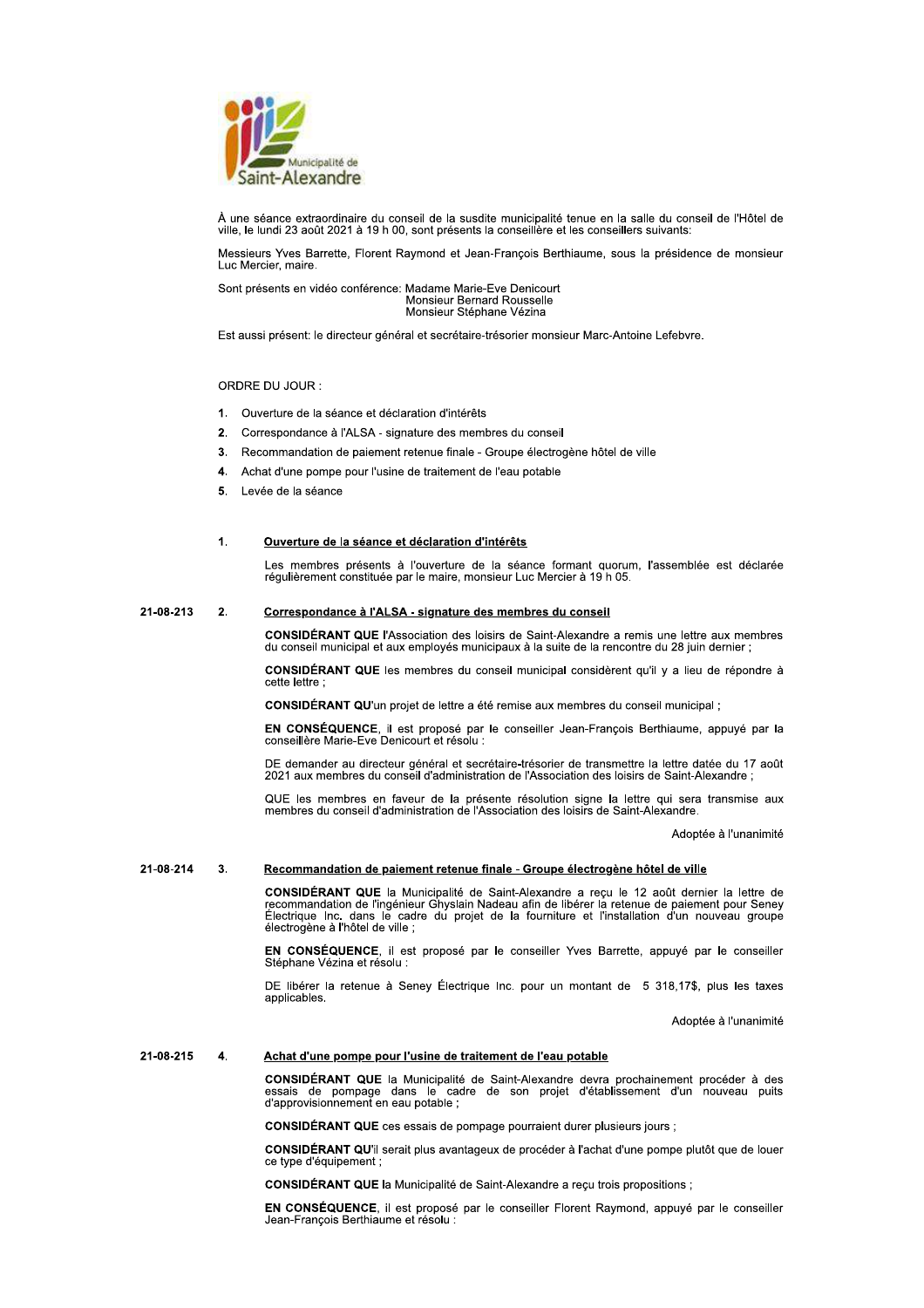

À une séance extraordinaire du conseil de la susdite municipalité tenue en la salle du conseil de l'Hôtel de ville, le lundi 23 août 2021 à 19 h 00, sont présents la conseillère et les conseillers suivants:

Messieurs Yves Barrette, Florent Raymond et Jean-François Berthiaume, sous la présidence de monsieur Luc Mercier, maire.

Sont présents en vidéo conférence: Madame Marie-Eve Denicourt Monsieur Bernard Rousselle Monsieur Stéphane Vézina

Est aussi présent: le directeur général et secrétaire-trésorier monsieur Marc-Antoine Lefebvre.

# ORDRE DU JOUR:

- 1. Ouverture de la séance et déclaration d'intérêts
- 2. Correspondance à l'ALSA signature des membres du conseil
- $3<sub>1</sub>$ Recommandation de paiement retenue finale - Groupe électrogène hôtel de ville
- $\overline{4}$ . Achat d'une pompe pour l'usine de traitement de l'eau potable
- 5. Levée de la séance

## $\ddot{\mathbf{1}}$ Ouverture de la séance et déclaration d'intérêts

Les membres présents à l'ouverture de la séance formant quorum, l'assemblée est déclarée<br>régulièrement constituée par le maire, monsieur Luc Mercier à 19 h 05.

#### 21-08-213  $2.$ Correspondance à l'ALSA - signature des membres du conseil

CONSIDÉRANT QUE l'Association des loisirs de Saint-Alexandre a remis une lettre aux membres<br>du conseil municipal et aux employés municipaux à la suite de la rencontre du 28 juin dernier ;

CONSIDÉRANT QUE les membres du conseil municipal considèrent qu'il y a lieu de répondre à cette lettre

CONSIDÉRANT QU'un projet de lettre a été remise aux membres du conseil municipal ;

EN CONSÉQUENCE, il est proposé par le conseiller Jean-Francois Berthiaume, appuyé par la conseillère Marie-Eve Denicourt et résolu :

DE demander au directeur général et secrétaire-trésorier de transmettre la lettre datée du 17 août 2021 aux membres du conseil d'administration de l'Association des loisirs de Saint-Alexandre ;

QUE les membres en faveur de la présente résolution signe la lettre qui sera transmise aux<br>membres du conseil d'administration de l'Association des loisirs de Saint-Alexandre.

Adoptée à l'unanimité

#### 21-08-214  $\overline{3}$ . Recommandation de paiement retenue finale - Groupe électrogène hôtel de ville

CONSIDÉRANT QUE la Municipalité de Saint-Alexandre a reçu le 12 août dernier la lettre de recommandation de l'ingénieur Ghyslain Nadeau afin de libérer la retenue de paiement pour Seney<br>Électrique Inc. dans le cadre du pro électrogène à l'hôtel de ville ;

EN CONSÉQUENCE, il est proposé par le conseiller Yves Barrette, appuyé par le conseiller Stéphane Vézina et résolu :

DE libérer la retenue à Seney Électrique Inc. pour un montant de 5 318,17\$, plus les taxes applicables

Adoptée à l'unanimité

#### 21-08-215  $\blacktriangle$ Achat d'une pompe pour l'usine de traitement de l'eau potable

CONSIDÉRANT QUE la Municipalité de Saint-Alexandre devra prochainement procéder à des essais de pompage dans le cadre de son projet d'établissement d'un nouveau puits d'approvisionnement en eau potable ;

CONSIDÉRANT QUE ces essais de pompage pourraient durer plusieurs jours ;

CONSIDÉRANT QU'il serait plus avantageux de procéder à l'achat d'une pompe plutôt que de louer ce type d'équipement ;

CONSIDÉRANT QUE la Municipalité de Saint-Alexandre a reçu trois propositions ;

EN CONSÉQUENCE, il est proposé par le conseiller Florent Raymond, appuyé par le conseiller Jean-François Berthiaume et résolu :